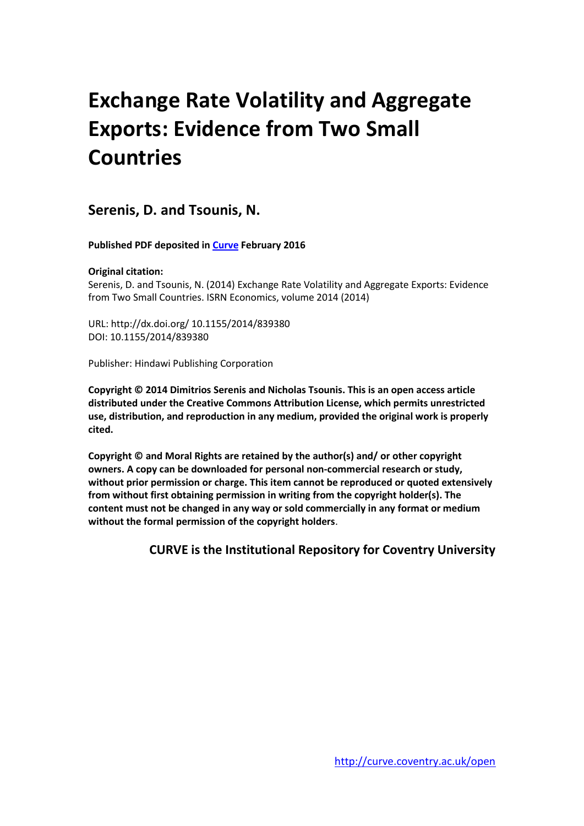# **Exchange Rate Volatility and Aggregate Exports: Evidence from Two Small Countries**

**Serenis, D. and Tsounis, N.**

**Published PDF deposited in [Curve](http://curve.coventry.ac.uk/open) February 2016**

# **Original citation:**

Serenis, D. and Tsounis, N. (2014) Exchange Rate Volatility and Aggregate Exports: Evidence from Two Small Countries. ISRN Economics, volume 2014 (2014)

URL: http://dx.doi.org/ 10.1155/2014/839380 DOI: 10.1155/2014/839380

Publisher: Hindawi Publishing Corporation

**Copyright © 2014 Dimitrios Serenis and Nicholas Tsounis. This is an open access article distributed under the Creative Commons Attribution License, which permits unrestricted use, distribution, and reproduction in any medium, provided the original work is properly cited.**

**Copyright © and Moral Rights are retained by the author(s) and/ or other copyright owners. A copy can be downloaded for personal non-commercial research or study, without prior permission or charge. This item cannot be reproduced or quoted extensively from without first obtaining permission in writing from the copyright holder(s). The content must not be changed in any way or sold commercially in any format or medium without the formal permission of the copyright holders**.

**CURVE is the Institutional Repository for Coventry University**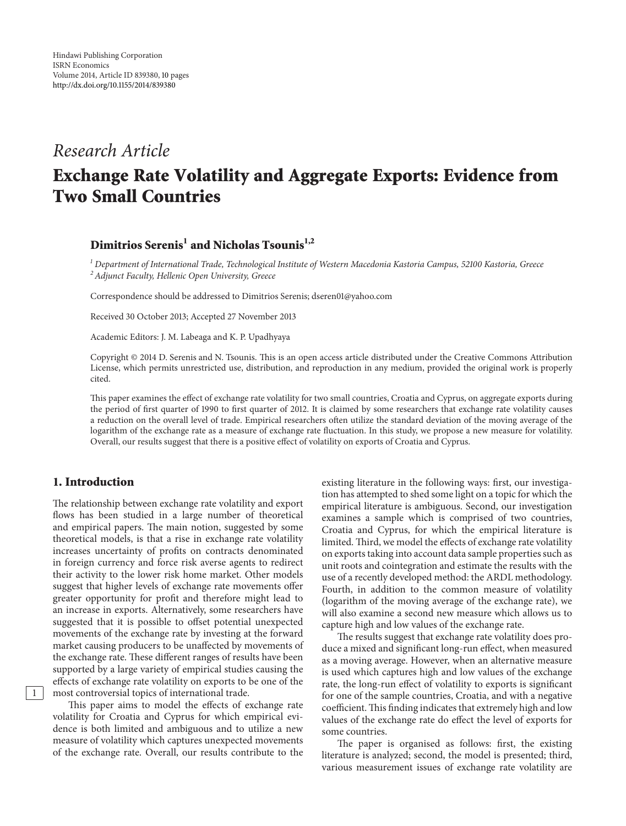# *Research Article* **Exchange Rate Volatility and Aggregate Exports: Evidence from Two Small Countries**

# **Dimitrios Serenis<sup>1</sup> and Nicholas Tsounis1,2**

*<sup>1</sup> Department of International Trade, Technological Institute of Western Macedonia Kastoria Campus, 52100 Kastoria, Greece 2Adjunct Faculty, Hellenic Open University, Greece*

Correspondence should be addressed to Dimitrios Serenis; dseren01@yahoo.com

Received 30 October 2013; Accepted 27 November 2013

Academic Editors: J. M. Labeaga and K. P. Upadhyaya

Copyright © 2014 D. Serenis and N. Tsounis. This is an open access article distributed under the Creative Commons Attribution License, which permits unrestricted use, distribution, and reproduction in any medium, provided the original work is properly cited.

This paper examines the effect of exchange rate volatility for two small countries, Croatia and Cyprus, on aggregate exports during the period of first quarter of 1990 to first quarter of 2012. It is claimed by some researchers that exchange rate volatility causes a reduction on the overall level of trade. Empirical researchers often utilize the standard deviation of the moving average of the logarithm of the exchange rate as a measure of exchange rate fluctuation. In this study, we propose a new measure for volatility. Overall, our results suggest that there is a positive effect of volatility on exports of Croatia and Cyprus.

### **1. Introduction**

The relationship between exchange rate volatility and export flows has been studied in a large number of theoretical and empirical papers. The main notion, suggested by some theoretical models, is that a rise in exchange rate volatility increases uncertainty of profits on contracts denominated in foreign currency and force risk averse agents to redirect their activity to the lower risk home market. Other models suggest that higher levels of exchange rate movements offer greater opportunity for profit and therefore might lead to an increase in exports. Alternatively, some researchers have suggested that it is possible to offset potential unexpected movements of the exchange rate by investing at the forward market causing producers to be unaffected by movements of the exchange rate. These different ranges of results have been supported by a large variety of empirical studies causing the effects of exchange rate volatility on exports to be one of the 1 most controversial topics of international trade.

This paper aims to model the effects of exchange rate volatility for Croatia and Cyprus for which empirical evidence is both limited and ambiguous and to utilize a new measure of volatility which captures unexpected movements of the exchange rate. Overall, our results contribute to the existing literature in the following ways: first, our investigation has attempted to shed some light on a topic for which the empirical literature is ambiguous. Second, our investigation examines a sample which is comprised of two countries, Croatia and Cyprus, for which the empirical literature is limited. Third, we model the effects of exchange rate volatility on exports taking into account data sample properties such as unit roots and cointegration and estimate the results with the use of a recently developed method: the ARDL methodology. Fourth, in addition to the common measure of volatility (logarithm of the moving average of the exchange rate), we will also examine a second new measure which allows us to capture high and low values of the exchange rate.

The results suggest that exchange rate volatility does produce a mixed and significant long-run effect, when measured as a moving average. However, when an alternative measure is used which captures high and low values of the exchange rate, the long-run effect of volatility to exports is significant for one of the sample countries, Croatia, and with a negative coefficient.This finding indicates that extremely high and low values of the exchange rate do effect the level of exports for some countries.

The paper is organised as follows: first, the existing literature is analyzed; second, the model is presented; third, various measurement issues of exchange rate volatility are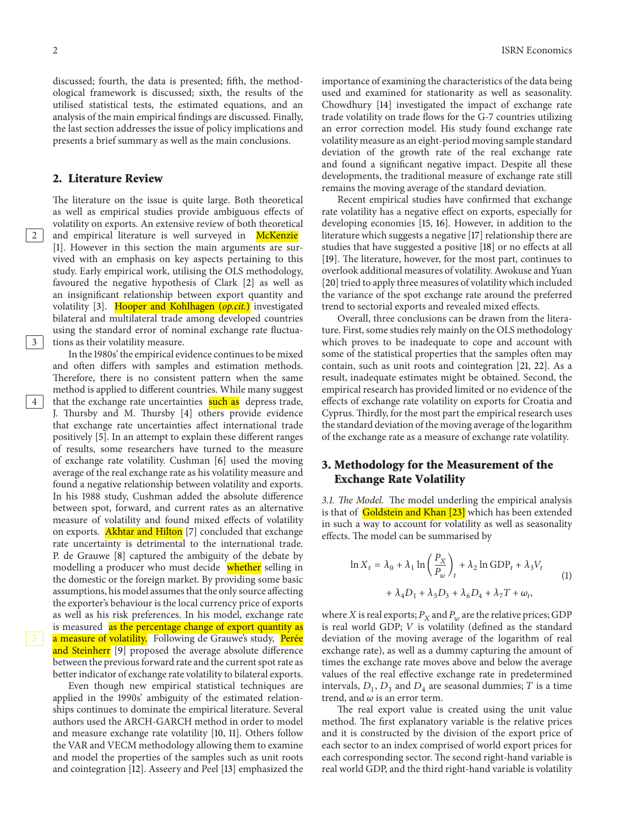discussed; fourth, the data is presented; fifth, the methodological framework is discussed; sixth, the results of the utilised statistical tests, the estimated equations, and an analysis of the main empirical findings are discussed. Finally, the last section addresses the issue of policy implications and presents a brief summary as well as the main conclusions.

#### **2. Literature Review**

The literature on the issue is quite large. Both theoretical as well as empirical studies provide ambiguous effects of volatility on exports. An extensive review of both theoretical 2 and empirical literature is well surveyed in McKenzie [\[1](#page-9-1)]. However in this section the main arguments are survived with an emphasis on key aspects pertaining to this study. Early empirical work, utilising the OLS methodology, favoured the negative hypothesis of Clark [\[2\]](#page-9-2) as well as an insignificant relationship between export quantity and volatility [\[3\]](#page-9-3). Hooper and Kohlhagen (*op.cit.*) investigated bilateral and multilateral trade among developed countries using the standard error of nominal exchange rate fluctua-3 tions as their volatility measure.

In the 1980s' the empirical evidence continues to be mixed and often differs with samples and estimation methods. Therefore, there is no consistent pattern when the same method is applied to different countries. While many suggest 4 that the exchange rate uncertainties **such as** depress trade, J. Thursby and M. Thursby [\[4](#page-9-4)] others provide evidence that exchange rate uncertainties affect international trade positively [\[5](#page-9-5)]. In an attempt to explain these different ranges of results, some researchers have turned to the measure of exchange rate volatility. Cushman [\[6\]](#page-9-6) used the moving average of the real exchange rate as his volatility measure and found a negative relationship between volatility and exports. In his 1988 study, Cushman added the absolute difference between spot, forward, and current rates as an alternative measure of volatility and found mixed effects of volatility on exports. **Akhtar and Hilton** [\[7\]](#page-9-7) concluded that exchange rate uncertainty is detrimental to the international trade. P. de Grauwe [\[8](#page-9-8)] captured the ambiguity of the debate by modelling a producer who must decide whether selling in the domestic or the foreign market. By providing some basic assumptions, his model assumes that the only source affecting the exporter's behaviour is the local currency price of exports as well as his risk preferences. In his model, exchange rate is measured as the percentage change of export quantity as a measure of volatility. Following de Grauwe's study, Perée and Steinherr [\[9\]](#page-9-9) proposed the average absolute difference between the previous forward rate and the current spot rate as better indicator of exchange rate volatility to bilateral exports.

Even though new empirical statistical techniques are applied in the 1990s' ambiguity of the estimated relationships continues to dominate the empirical literature. Several authors used the ARCH-GARCH method in order to model and measure exchange rate volatility [\[10,](#page-9-10) [11](#page-9-11)]. Others follow the VAR and VECM methodology allowing them to examine and model the properties of the samples such as unit roots and cointegration [\[12\]](#page-9-12). Asseery and Peel [\[13](#page-9-13)] emphasized the importance of examining the characteristics of the data being used and examined for stationarity as well as seasonality. Chowdhury [\[14](#page-10-0)] investigated the impact of exchange rate trade volatility on trade flows for the G-7 countries utilizing an error correction model. His study found exchange rate volatility measure as an eight-period moving sample standard deviation of the growth rate of the real exchange rate and found a significant negative impact. Despite all these developments, the traditional measure of exchange rate still remains the moving average of the standard deviation.

Recent empirical studies have confirmed that exchange rate volatility has a negative effect on exports, especially for developing economies [\[15,](#page-10-1) [16\]](#page-10-2). However, in addition to the literature which suggests a negative [\[17\]](#page-10-3) relationship there are studies that have suggested a positive [\[18](#page-10-4)] or no effects at all [\[19](#page-10-5)]. The literature, however, for the most part, continues to overlook additional measures of volatility. Awokuse and Yuan [\[20\]](#page-10-6) tried to apply three measures of volatility which included the variance of the spot exchange rate around the preferred trend to sectorial exports and revealed mixed effects.

Overall, three conclusions can be drawn from the literature. First, some studies rely mainly on the OLS methodology which proves to be inadequate to cope and account with some of the statistical properties that the samples often may contain, such as unit roots and cointegration [\[21,](#page-10-7) [22\]](#page-10-8). As a result, inadequate estimates might be obtained. Second, the empirical research has provided limited or no evidence of the effects of exchange rate volatility on exports for Croatia and Cyprus. Thirdly, for the most part the empirical research uses the standard deviation of the moving average of the logarithm of the exchange rate as a measure of exchange rate volatility.

# **3. Methodology for the Measurement of the Exchange Rate Volatility**

*3.1. The Model.* The model underling the empirical analysis is that of Goldstein and Khan [\[23\]](#page-10-9) which has been extended in such a way to account for volatility as well as seasonality effects. The model can be summarised by

<span id="page-2-0"></span>
$$
\ln X_t = \lambda_0 + \lambda_1 \ln \left( \frac{P_X}{P_w} \right)_t + \lambda_2 \ln \text{GDP}_t + \lambda_3 V_t
$$
  
+  $\lambda_4 D_1 + \lambda_5 D_3 + \lambda_6 D_4 + \lambda_7 T + \omega_t,$  (1)

where X is real exports;  $P_X$  and  $P_w$  are the relative prices; GDP is real world GDP;  $V$  is volatility (defined as the standard deviation of the moving average of the logarithm of real exchange rate), as well as a dummy capturing the amount of times the exchange rate moves above and below the average values of the real effective exchange rate in predetermined intervals,  $D_1$ ,  $D_3$  and  $D_4$  are seasonal dummies; T is a time trend, and  $\omega$  is an error term.

The real export value is created using the unit value method. The first explanatory variable is the relative prices and it is constructed by the division of the export price of each sector to an index comprised of world export prices for each corresponding sector. The second right-hand variable is real world GDP, and the third right-hand variable is volatility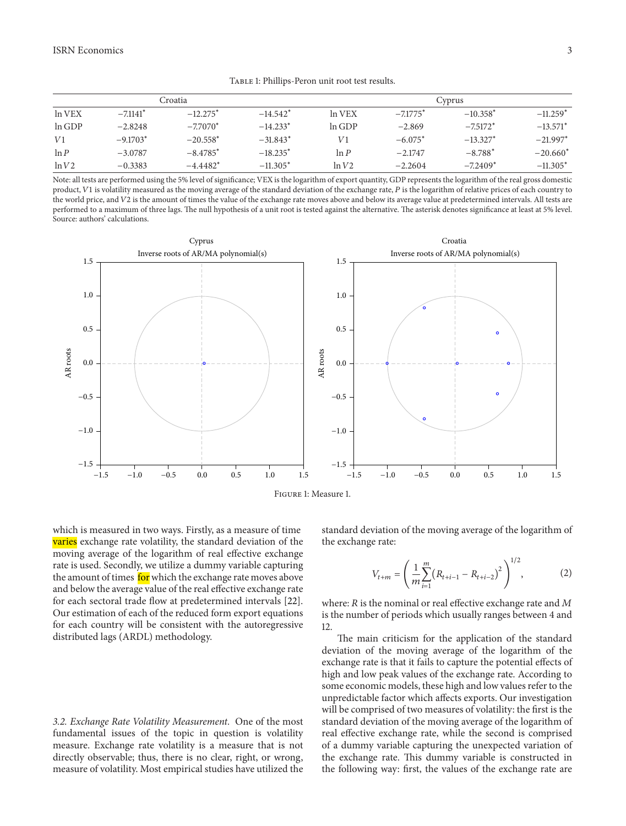<span id="page-3-0"></span>Table 1: Phillips-Peron unit root test results.

|         | Croatia                |            | Cyprus                 |        |                        |            |            |
|---------|------------------------|------------|------------------------|--------|------------------------|------------|------------|
| ln VEX  | $-7.1141$ <sup>*</sup> | $-12.275*$ | $-14.542$ <sup>*</sup> | In VEX | $-7.1775$ <sup>*</sup> | $-10.358*$ | $-11.259*$ |
| ln GDP  | $-2.8248$              | $-7.7070*$ | $-14.233*$             | ln GDP | $-2.869$               | $-7.5172*$ | $-13.571*$ |
| V1      | $-9.1703*$             | $-20.558*$ | $-31.843*$             | V1     | $-6.075*$              | $-13.327*$ | $-21.997*$ |
| $\ln P$ | $-3.0787$              | $-8.4785*$ | $-18.235*$             | ln P   | $-2.1747$              | $-8.788*$  | $-20.660*$ |
| ln V2   | $-0.3383$              | $-4.4482*$ | $-11.305*$             | ln V2  | $-2.2604$              | $-7.2409*$ | $-11.305*$ |

Note: all tests are performed using the 5% level of significance; VEX is the logarithm of export quantity, GDP represents the logarithm of the real gross domestic product, V1 is volatility measured as the moving average of the standard deviation of the exchange rate, P is the logarithm of relative prices of each country to the world price, and V2 is the amount of times the value of the exchange rate moves above and below its average value at predetermined intervals. All tests are performed to a maximum of three lags. The null hypothesis of a unit root is tested against the alternative. The asterisk denotes significance at least at 5% level. Source: authors' calculations.



Figure 1: Measure 1.

which is measured in two ways. Firstly, as a measure of time **varies** exchange rate volatility, the standard deviation of the moving average of the logarithm of real effective exchange rate is used. Secondly, we utilize a dummy variable capturing the amount of times for which the exchange rate moves above and below the average value of the real effective exchange rate for each sectoral trade flow at predetermined intervals [\[22\]](#page-10-8). Our estimation of each of the reduced form export equations for each country will be consistent with the autoregressive distributed lags (ARDL) methodology.

*3.2. Exchange Rate Volatility Measurement.* One of the most fundamental issues of the topic in question is volatility measure. Exchange rate volatility is a measure that is not directly observable; thus, there is no clear, right, or wrong, measure of volatility. Most empirical studies have utilized the <span id="page-3-1"></span>standard deviation of the moving average of the logarithm of the exchange rate:

$$
V_{t+m} = \left(\frac{1}{m} \sum_{i=1}^{m} (R_{t+i-1} - R_{t+i-2})^2\right)^{1/2},\tag{2}
$$

1/2

where:  $R$  is the nominal or real effective exchange rate and  $M$ is the number of periods which usually ranges between 4 and 12.

The main criticism for the application of the standard deviation of the moving average of the logarithm of the exchange rate is that it fails to capture the potential effects of high and low peak values of the exchange rate. According to some economic models, these high and low values refer to the unpredictable factor which affects exports. Our investigation will be comprised of two measures of volatility: the first is the standard deviation of the moving average of the logarithm of real effective exchange rate, while the second is comprised of a dummy variable capturing the unexpected variation of the exchange rate. This dummy variable is constructed in the following way: first, the values of the exchange rate are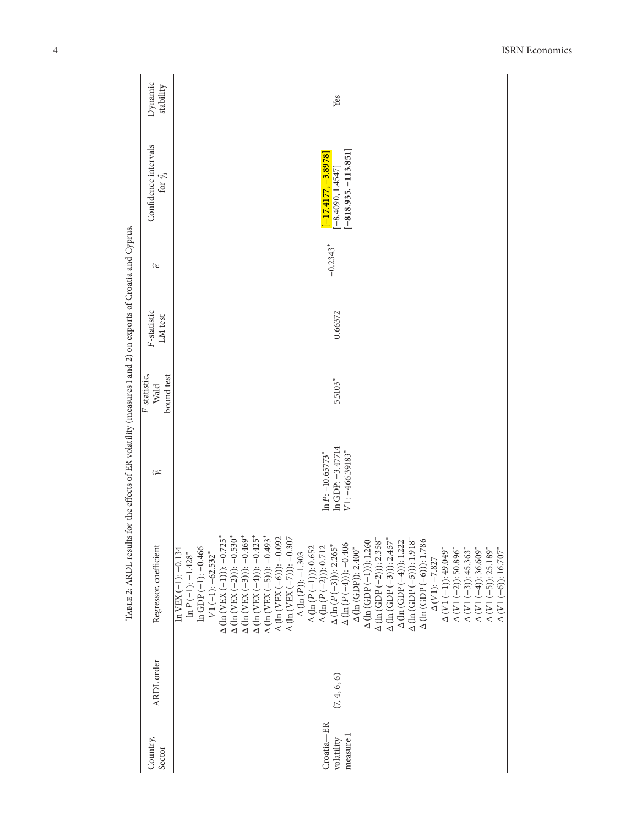|                                                                                                            | Dynamic<br>stability                         | Yes                                                                                                                                                                                                                                                                                                                                                                                                                                                                                                                                                                                                                                                                                                                                                                                                                                                                                                                                                                                                                                                                                                                                                                                                                                         |  |
|------------------------------------------------------------------------------------------------------------|----------------------------------------------|---------------------------------------------------------------------------------------------------------------------------------------------------------------------------------------------------------------------------------------------------------------------------------------------------------------------------------------------------------------------------------------------------------------------------------------------------------------------------------------------------------------------------------------------------------------------------------------------------------------------------------------------------------------------------------------------------------------------------------------------------------------------------------------------------------------------------------------------------------------------------------------------------------------------------------------------------------------------------------------------------------------------------------------------------------------------------------------------------------------------------------------------------------------------------------------------------------------------------------------------|--|
|                                                                                                            | Confidence intervals<br>for $\hat{\gamma}_i$ | $[-818.935, -113.851]$<br>$[-17.4177, -3.8978]$<br>$[-8.4090, 1.4547]$                                                                                                                                                                                                                                                                                                                                                                                                                                                                                                                                                                                                                                                                                                                                                                                                                                                                                                                                                                                                                                                                                                                                                                      |  |
|                                                                                                            | $\hat{\boldsymbol{\sigma}}$                  | $-0.2343$ <sup>*</sup>                                                                                                                                                                                                                                                                                                                                                                                                                                                                                                                                                                                                                                                                                                                                                                                                                                                                                                                                                                                                                                                                                                                                                                                                                      |  |
|                                                                                                            | F-statistic<br>LM test                       | 0.66372                                                                                                                                                                                                                                                                                                                                                                                                                                                                                                                                                                                                                                                                                                                                                                                                                                                                                                                                                                                                                                                                                                                                                                                                                                     |  |
| F-statistic,                                                                                               | bound test<br>Wald                           | 5.5103*                                                                                                                                                                                                                                                                                                                                                                                                                                                                                                                                                                                                                                                                                                                                                                                                                                                                                                                                                                                                                                                                                                                                                                                                                                     |  |
|                                                                                                            | $\widehat{\gamma_i}$                         | In GDP: -3.47714<br>$V1: -466.39183$<br>$\ln P$ : $-10.65773$ *                                                                                                                                                                                                                                                                                                                                                                                                                                                                                                                                                                                                                                                                                                                                                                                                                                                                                                                                                                                                                                                                                                                                                                             |  |
| TWEE $\epsilon$ : VIVID TESTING TO THE CHECK OF EXAMPLES 1 AND THE CHECK OF EXPORTS OF EXPORTS AND ALLOWED | Regressor, coefficient                       | $\begin{array}{l} \Delta \; (\ln \; (\mathrm{VEX}\; (-3)))-0.469^+ \\ \Delta \; (\ln \; (\mathrm{VEX}\; (-4)))-0.425^+ \\ \Delta \; (\ln \; (\mathrm{VEX}\; (-5)))-0.493^* \end{array}$<br>$\Delta$ (ln (VEX (-1))): -0.725*<br>$\Delta$ (ln (VEX (-2))): -0.530*<br>$\begin{array}{l} \Delta \ (\ln \left( \text{VEX} \ (-6) \right)) : -0.092 \\ \Delta \ (\ln \left( \text{VEX} \ (-7) \right)) : -0.307 \end{array}$<br>$\Delta$ (ln (GDP (-2))): 2.358 <sup>+</sup><br>$\Delta$ (ln (GDP (-3))): 2.457*<br>$\Delta$ (ln (GDP (-1))): 1.260<br>$\Delta$ (ln (GDP (-4))): 1.222<br>$\Delta$ (ln (GDP (-5)): 1.918<br>$\Delta$ (ln (GDP (-6))): 1.786<br>$\Delta (\ln (P(-4)) - 0.406$<br>$\Delta (\ln (P(-3))): 2.265$ *<br>$\Delta (\ln (P(-1))$ : 0.652<br>$\Delta$ (ln (P(-2)): 0.712<br>$ln GDP(-1): -0.466$<br>$\Delta$ (In (GDP)): 2.400*<br>$\begin{array}{l} \Delta\ (V1\,(-1));\,49.049^*\\ \Delta\ (V1\,(-2));\,50.896^*\\ \Delta\ (V1\,(-3));\,45.363^*\\ \Delta\ (V1\,(-4));\,36.609^* \end{array}$<br>$\Delta (V1(-5))$ : 25.189*<br>$\Delta (V1(-6)): 16.707$<br>$ln$ VEX $(-1)$ : $-0.134$<br>$V1(-1): -62.532$ <sup>*</sup><br>$\ln P(-1): -1.428$ <sup>*</sup><br>$\Delta (\ln(P))$ : -1.303<br>$\Delta$ (V1): $-7.827$ |  |
|                                                                                                            | ARDL order                                   | (7, 4, 6, 6)                                                                                                                                                                                                                                                                                                                                                                                                                                                                                                                                                                                                                                                                                                                                                                                                                                                                                                                                                                                                                                                                                                                                                                                                                                |  |
|                                                                                                            | Country,<br>Sector                           | Croatia-ER<br>measure 1<br>volatility                                                                                                                                                                                                                                                                                                                                                                                                                                                                                                                                                                                                                                                                                                                                                                                                                                                                                                                                                                                                                                                                                                                                                                                                       |  |

<span id="page-4-0"></span> $T_{ABLE}$  2; ARDL results for the effects of ER volatility (measures 1 and 2) on exports of Croatia and Cyprus. Table 2: ARDL results for the effects of ER volatility (measures 1 and 2) on exports of Croatia and Cyprus.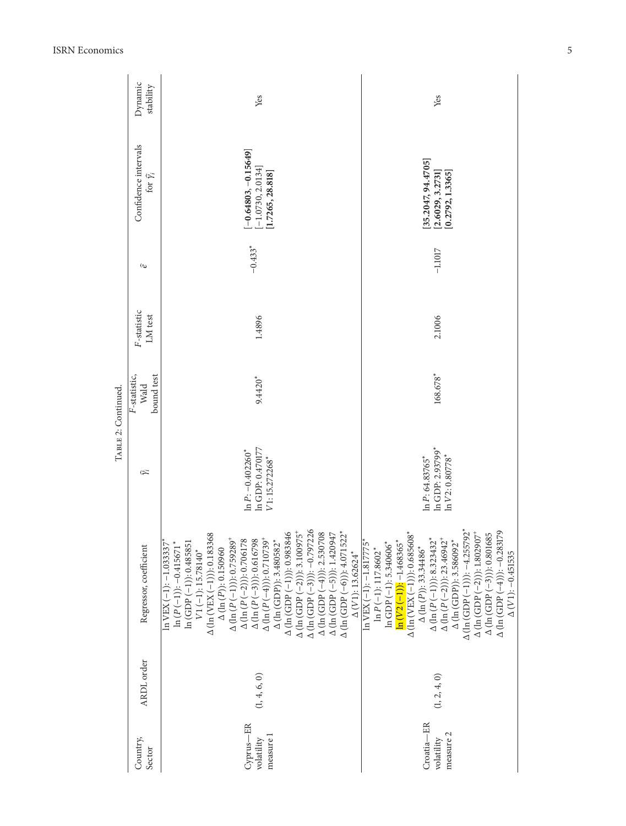|                     | Dynamic<br>stability                         | Yes                                                                                                                                                                                                                                                                                                                                                                                                                                                                                                                                                                                                                                                                                                                                                                                                                                                                                                                                | Yes                                                                                                                                                                                                                                                                                                                                                                                                                                                                                                                                                                                                                                                                                                                  |  |  |
|---------------------|----------------------------------------------|------------------------------------------------------------------------------------------------------------------------------------------------------------------------------------------------------------------------------------------------------------------------------------------------------------------------------------------------------------------------------------------------------------------------------------------------------------------------------------------------------------------------------------------------------------------------------------------------------------------------------------------------------------------------------------------------------------------------------------------------------------------------------------------------------------------------------------------------------------------------------------------------------------------------------------|----------------------------------------------------------------------------------------------------------------------------------------------------------------------------------------------------------------------------------------------------------------------------------------------------------------------------------------------------------------------------------------------------------------------------------------------------------------------------------------------------------------------------------------------------------------------------------------------------------------------------------------------------------------------------------------------------------------------|--|--|
| TABLE 2: Continued. | Confidence intervals<br>for $\hat{\gamma}_i$ | $-0.64803, -0.15649$<br>$[-1.0730, 2.0134]$<br>1.7265, 28.818]                                                                                                                                                                                                                                                                                                                                                                                                                                                                                                                                                                                                                                                                                                                                                                                                                                                                     | 35.2047, 94.4705]<br>[2.6029, 3.2731]<br>[0.2792, 1.3365]                                                                                                                                                                                                                                                                                                                                                                                                                                                                                                                                                                                                                                                            |  |  |
|                     | $\hat{\varepsilon}$                          | $-0.433*$                                                                                                                                                                                                                                                                                                                                                                                                                                                                                                                                                                                                                                                                                                                                                                                                                                                                                                                          | $-1.1017$                                                                                                                                                                                                                                                                                                                                                                                                                                                                                                                                                                                                                                                                                                            |  |  |
|                     | F-statistic<br>LM test                       | 1.4896                                                                                                                                                                                                                                                                                                                                                                                                                                                                                                                                                                                                                                                                                                                                                                                                                                                                                                                             | 2.1006                                                                                                                                                                                                                                                                                                                                                                                                                                                                                                                                                                                                                                                                                                               |  |  |
|                     | bound test<br>F-statistic,<br>Wald           | 9.4420*                                                                                                                                                                                                                                                                                                                                                                                                                                                                                                                                                                                                                                                                                                                                                                                                                                                                                                                            | 168.678*                                                                                                                                                                                                                                                                                                                                                                                                                                                                                                                                                                                                                                                                                                             |  |  |
|                     | $\widehat{\gamma_i}$                         | In GDP: 0.470177<br>$\ln P$ : $-0.402260$ <sup>*</sup><br>V1: 15.272268*                                                                                                                                                                                                                                                                                                                                                                                                                                                                                                                                                                                                                                                                                                                                                                                                                                                           | $ln$ GDP: $2.93799*$<br>$\ln V2: 0.80778$ *<br>$ln P$ : 64.83765 $*$                                                                                                                                                                                                                                                                                                                                                                                                                                                                                                                                                                                                                                                 |  |  |
|                     | Regressor, coefficient                       | $\begin{array}{l} \Delta\left(\ln\left(\text{GDP}\left(-1\right)\right)\right): 0.983846\\ \Delta\left(\ln\left(\text{GDP}\left(-2\right)\right)\right): 3.100975^{\text{*}}\\ \Delta\left(\ln\left(\text{GDP}\left(-3\right)\right)\right): -0.797226\\ \Delta\left(\ln\left(\text{GDP}\left(-4\right)\right): 2.530708\\ \Delta\left(\ln\left(\text{GDP}\left(-5\right)\right)\right): 1.420947\\ \Delta\left(\ln\left(\text{GDP}\left(-6\right)\right)\right): 4.071522^{\text{*}}\\ \$<br>$\Delta$ (ln (VEX (-1))): 0.183368<br>$\Delta$ (ln (P (-1))): 0.759289 <sup>+</sup><br>$\Delta$ (ln (P (–2))): 0.706178<br>$\Delta$ (ln (P(-3))): 0.616798<br>$\Delta$ (ln (P (-4))): 0.710739 <sup>+</sup><br>$\Delta$ (In (GDP)): 3.480582*<br>$\ln$ VEX (-1): -1.033337 <sup>*</sup><br>$ln(GDP(-1))$ : 0.485851<br>$\ln(P(-1))$ : -0.415671*<br>$\Delta (\ln (P))$ : 0.150960<br>$V1(-1): 15.78140*$<br>$\Delta$ (V1): 13.62624* | $\begin{array}{l} \Delta \; (\mathrm{In} \; (\mathrm{GDP \,} (-1)) \text{)} \text{.} -4.255792^* \\ \Delta \; (\mathrm{In} \; (\mathrm{GDP \,} (-2)) \text{)}. \text{1.802907}^+ \\ \Delta \; (\mathrm{In} \; (\mathrm{GDP \,} (-3)) \text{).} \text{0.801685} \\ \Delta \; (\mathrm{In} \; (\mathrm{GDP \,} (-4)) \text{).} \text{-.} \text{0.283179} \end{array}$<br>$\Delta$ (ln (VEX (-1))): 0.685608*<br>$\Delta$ (ln (P (-1))): 8.323432*<br>$\Delta$ (ln (P (-2))): 23.46942 <sup>+</sup><br>$\Delta$ (ln (GDP)): 3.586092*<br>$\ln$ VEX (-1): -1.817775*<br>$\ln (V_2(-1))$ : -1.468365*<br>$ln GDP (-1): 5.340606*$<br>$\Delta$ (ln(P)): 33.34486*<br>$\ln P(-1)$ : 117.8602*<br>$\Delta$ (V1): $-0.451535$ |  |  |
|                     | ARDL order                                   | (1, 4, 6, 0)                                                                                                                                                                                                                                                                                                                                                                                                                                                                                                                                                                                                                                                                                                                                                                                                                                                                                                                       | (1, 2, 4, 0)                                                                                                                                                                                                                                                                                                                                                                                                                                                                                                                                                                                                                                                                                                         |  |  |
|                     | Country,<br>Sector                           | Cyprus-ER<br>measure 1<br>volatility                                                                                                                                                                                                                                                                                                                                                                                                                                                                                                                                                                                                                                                                                                                                                                                                                                                                                               | Croatia-ER<br>measure 2<br>volatility                                                                                                                                                                                                                                                                                                                                                                                                                                                                                                                                                                                                                                                                                |  |  |

ISRN Economics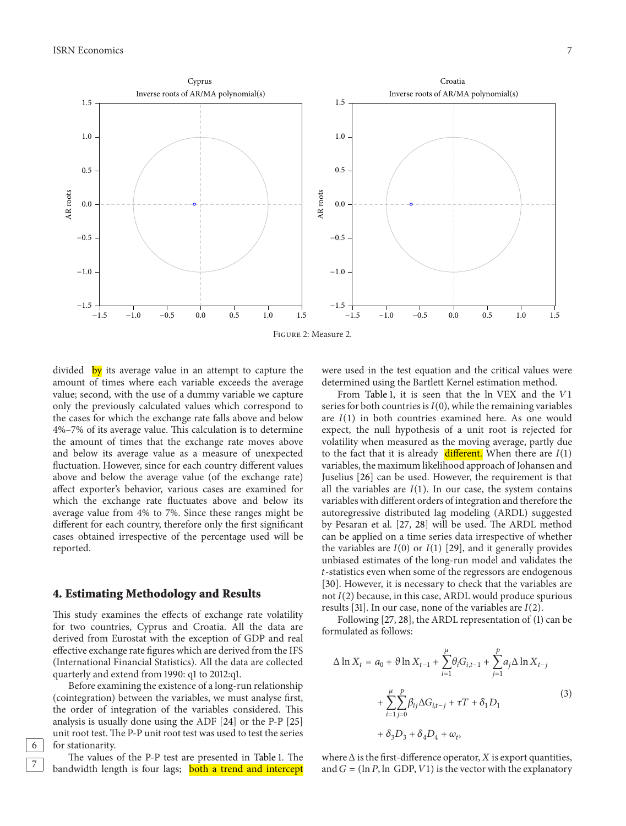−1.0

−0.5

0.0

AR roots

0.5

1.0

1.5

 $-1.5$ 





−1.0

 $-0.5$ 

 $-1.5$ 

 $1.5$  −1.0 −0.5 0.0 0.5 1.0 1.5 −1.5 −1.0 −0.5 0.0 0.5 1.0 1.5

divided by its average value in an attempt to capture the amount of times where each variable exceeds the average value; second, with the use of a dummy variable we capture only the previously calculated values which correspond to the cases for which the exchange rate falls above and below 4%–7% of its average value. This calculation is to determine the amount of times that the exchange rate moves above and below its average value as a measure of unexpected fluctuation. However, since for each country different values above and below the average value (of the exchange rate) affect exporter's behavior, various cases are examined for which the exchange rate fluctuates above and below its average value from 4% to 7%. Since these ranges might be different for each country, therefore only the first significant cases obtained irrespective of the percentage used will be reported.

Cyprus

#### **4. Estimating Methodology and Results**

This study examines the effects of exchange rate volatility for two countries, Cyprus and Croatia. All the data are derived from Eurostat with the exception of GDP and real effective exchange rate figures which are derived from the IFS (International Financial Statistics). All the data are collected quarterly and extend from 1990: q1 to 2012:q1.

Before examining the existence of a long-run relationship (cointegration) between the variables, we must analyse first, the order of integration of the variables considered. This analysis is usually done using the ADF [\[24\]](#page-10-10) or the P-P [\[25](#page-10-11)] unit root test. The P-P unit root test was used to test the series 6 for stationarity.

The values of the P-P test are presented in [Table 1.](#page-3-0) The bandwidth length is four lags; **both a trend and intercept**  <span id="page-7-1"></span>were used in the test equation and the critical values were determined using the Bartlett Kernel estimation method.

From [Table 1,](#page-3-0) it is seen that the ln VEX and the V1 series for both countries is  $I(0)$ , while the remaining variables are  $I(1)$  in both countries examined here. As one would expect, the null hypothesis of a unit root is rejected for volatility when measured as the moving average, partly due to the fact that it is already different. When there are  $I(1)$ variables, the maximum likelihood approach of Johansen and Juselius [\[26\]](#page-10-12) can be used. However, the requirement is that all the variables are  $I(1)$ . In our case, the system contains variables with different orders of integration and therefore the autoregressive distributed lag modeling (ARDL) suggested by Pesaran et al. [\[27](#page-10-13), [28\]](#page-10-14) will be used. The ARDL method can be applied on a time series data irrespective of whether the variables are  $I(0)$  or  $I(1)$  [\[29](#page-10-15)], and it generally provides unbiased estimates of the long-run model and validates the -statistics even when some of the regressors are endogenous [\[30\]](#page-10-16). However, it is necessary to check that the variables are not  $I(2)$  because, in this case, ARDL would produce spurious results [\[31\]](#page-10-17). In our case, none of the variables are  $I(2)$ .

Following [\[27,](#page-10-13) [28\]](#page-10-14), the ARDL representation of [\(1\)](#page-2-0) can be formulated as follows:

<span id="page-7-0"></span>
$$
\Delta \ln X_t = a_0 + \vartheta \ln X_{t-1} + \sum_{i=1}^{\mu} \theta_i G_{i,t-1} + \sum_{j=1}^{p} a_j \Delta \ln X_{t-j} + \sum_{i=1}^{\mu} \sum_{j=0}^{p} \beta_{ij} \Delta G_{i,t-j} + \tau T + \delta_1 D_1 + \delta_3 D_3 + \delta_4 D_4 + \omega_t,
$$
 (3)

where  $\Delta$  is the first-difference operator,  $X$  is export quantities, and  $G = (ln P, ln GDP, V1)$  is the vector with the explanatory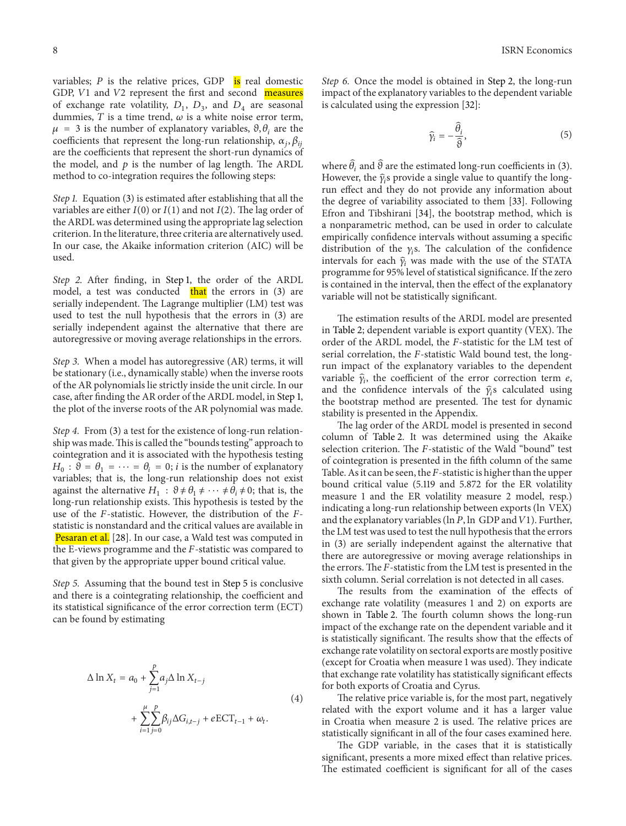variables;  $P$  is the relative prices, GDP is real domestic GDP,  $V1$  and  $V2$  represent the first and second measures of exchange rate volatility,  $D_1$ ,  $D_3$ , and  $D_4$  are seasonal dummies,  $T$  is a time trend,  $\omega$  is a white noise error term,  $\mu = 3$  is the number of explanatory variables,  $\vartheta$ ,  $\theta_i$  are the coefficients that represent the long-run relationship,  $\alpha_i, \beta_{ii}$ are the coefficients that represent the short-run dynamics of the model, and  $p$  is the number of lag length. The ARDL method to co-integration requires the following steps:

<span id="page-8-0"></span>*Step 1.* Equation [\(3\)](#page-7-0) is estimated after establishing that all the variables are either  $I(0)$  or  $I(1)$  and not  $I(2)$ . The lag order of the ARDL was determined using the appropriate lag selection criterion. In the literature, three criteria are alternatively used. In our case, the Akaike information criterion (AIC) will be used.

<span id="page-8-2"></span>*Step 2.* After finding, in [Step 1,](#page-8-0) the order of the ARDL model, a test was conducted  $\frac{that}{that}$  the errors in [\(3\)](#page-7-0) are serially independent. The Lagrange multiplier (LM) test was used to test the null hypothesis that the errors in [\(3\)](#page-7-0) are serially independent against the alternative that there are autoregressive or moving average relationships in the errors.

*Step 3.* When a model has autoregressive (AR) terms, it will be stationary (i.e., dynamically stable) when the inverse roots of the AR polynomials lie strictly inside the unit circle. In our case, after finding the AR order of the ARDL model, in [Step 1,](#page-8-0) the plot of the inverse roots of the AR polynomial was made.

*Step 4.* From [\(3\)](#page-7-0) a test for the existence of long-run relationship was made.This is called the "bounds testing" approach to cointegration and it is associated with the hypothesis testing  $H_0$ :  $\vartheta = \theta_1 = \cdots = \theta_i = 0$ ; *i* is the number of explanatory variables; that is, the long-run relationship does not exist against the alternative  $H_1 : \vartheta \neq \theta_1 \neq \cdots \neq \theta_i \neq 0$ ; that is, the long-run relationship exists. This hypothesis is tested by the use of the  $F$ -statistic. However, the distribution of the  $F$ statistic is nonstandard and the critical values are available in Pesaran et al. [\[28](#page-10-14)]. In our case, a Wald test was computed in the E-views programme and the  $F$ -statistic was compared to that given by the appropriate upper bound critical value.

<span id="page-8-1"></span>*Step 5.* Assuming that the bound test in [Step 5](#page-8-1) is conclusive and there is a cointegrating relationship, the coefficient and its statistical significance of the error correction term (ECT) can be found by estimating

$$
\Delta \ln X_t = a_0 + \sum_{j=1}^p a_j \Delta \ln X_{t-j}
$$
  
+ 
$$
\sum_{i=1}^{\mu} \sum_{j=0}^p \beta_{ij} \Delta G_{i,t-j} + eECT_{t-1} + \omega_t.
$$
 (4)

*Step 6.* Once the model is obtained in [Step 2,](#page-8-2) the long-run impact of the explanatory variables to the dependent variable is calculated using the expression [\[32](#page-10-18)]:

$$
\widehat{\gamma}_i = -\frac{\widehat{\theta}_i}{\widehat{\vartheta}},\tag{5}
$$

where  $\widehat{\theta}_i$  and  $\widehat{\vartheta}$  are the estimated long-run coefficients in [\(3\)](#page-7-0). However, the  $\hat{\gamma}_i$ s provide a single value to quantify the longrun effect and they do not provide any information about the degree of variability associated to them [\[33](#page-10-19)]. Following Efron and Tibshirani [\[34\]](#page-10-20), the bootstrap method, which is a nonparametric method, can be used in order to calculate empirically confidence intervals without assuming a specific distribution of the  $\gamma_i$ s. The calculation of the confidence intervals for each  $\hat{\gamma}_i$  was made with the use of the STATA programme for 95% level of statistical significance. If the zero is contained in the interval, then the effect of the explanatory variable will not be statistically significant.

The estimation results of the ARDL model are presented in [Table 2;](#page-4-0) dependent variable is export quantity (VEX). The order of the ARDL model, the F-statistic for the LM test of serial correlation, the  $F$ -statistic Wald bound test, the longrun impact of the explanatory variables to the dependent variable  $\hat{\gamma}_i$ , the coefficient of the error correction term e, and the confidence intervals of the  $\hat{\gamma}_i$ s calculated using the bootstrap method are presented. The test for dynamic stability is presented in the Appendix.

The lag order of the ARDL model is presented in second column of [Table 2.](#page-4-0) It was determined using the Akaike selection criterion. The *F*-statistic of the Wald "bound" test of cointegration is presented in the fifth column of the same Table. As it can be seen, the  $F$ -statistic is higher than the upper bound critical value (5.119 and 5.872 for the ER volatility measure 1 and the ER volatility measure 2 model, resp.) indicating a long-run relationship between exports (ln VEX) and the explanatory variables (ln  $P$ , ln GDP and  $V$ 1). Further, the LM test was used to test the null hypothesis that the errors in [\(3\)](#page-7-0) are serially independent against the alternative that there are autoregressive or moving average relationships in the errors. The  $F$ -statistic from the LM test is presented in the sixth column. Serial correlation is not detected in all cases.

The results from the examination of the effects of exchange rate volatility (measures 1 and 2) on exports are shown in [Table 2.](#page-4-0) The fourth column shows the long-run impact of the exchange rate on the dependent variable and it is statistically significant. The results show that the effects of exchange rate volatility on sectoral exports are mostly positive (except for Croatia when measure 1 was used). They indicate that exchange rate volatility has statistically significant effects for both exports of Croatia and Cyrus.

<span id="page-8-3"></span>The relative price variable is, for the most part, negatively related with the export volume and it has a larger value in Croatia when measure 2 is used. The relative prices are statistically significant in all of the four cases examined here.

The GDP variable, in the cases that it is statistically significant, presents a more mixed effect than relative prices. The estimated coefficient is significant for all of the cases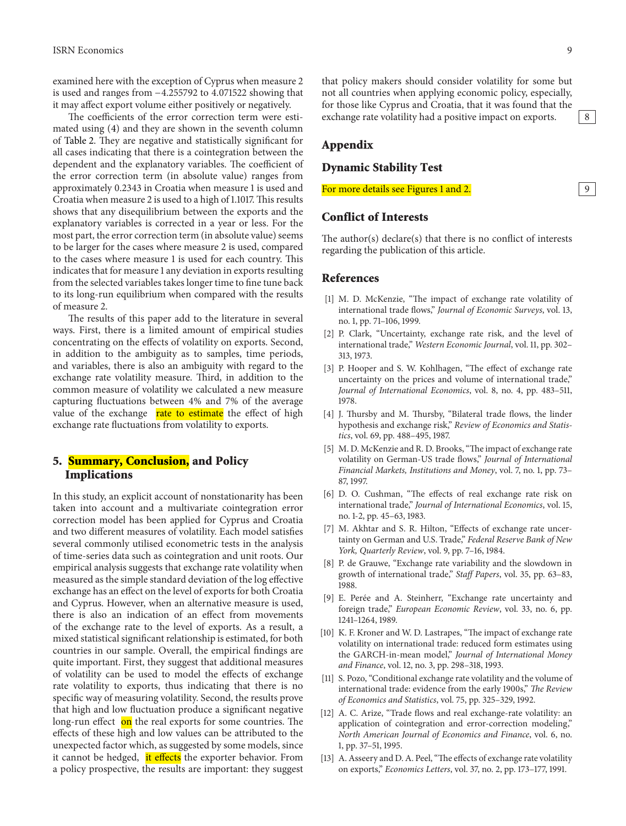examined here with the exception of Cyprus when measure 2 is used and ranges from −4.255792 to 4.071522 showing that it may affect export volume either positively or negatively.

The coefficients of the error correction term were estimated using [\(4\)](#page-8-3) and they are shown in the seventh column of [Table 2.](#page-4-0) They are negative and statistically significant for all cases indicating that there is a cointegration between the dependent and the explanatory variables. The coefficient of the error correction term (in absolute value) ranges from approximately 0.2343 in Croatia when measure 1 is used and Croatia when measure 2 is used to a high of 1.1017. This results shows that any disequilibrium between the exports and the explanatory variables is corrected in a year or less. For the most part, the error correction term (in absolute value) seems to be larger for the cases where measure 2 is used, compared to the cases where measure 1 is used for each country. This indicates that for measure 1 any deviation in exports resulting from the selected variables takes longer time to fine tune back to its long-run equilibrium when compared with the results of measure 2.

The results of this paper add to the literature in several ways. First, there is a limited amount of empirical studies concentrating on the effects of volatility on exports. Second, in addition to the ambiguity as to samples, time periods, and variables, there is also an ambiguity with regard to the exchange rate volatility measure. Third, in addition to the common measure of volatility we calculated a new measure capturing fluctuations between 4% and 7% of the average value of the exchange rate to estimate the effect of high exchange rate fluctuations from volatility to exports.

# **5. Summary, Conclusion, and Policy Implications**

In this study, an explicit account of nonstationarity has been taken into account and a multivariate cointegration error correction model has been applied for Cyprus and Croatia and two different measures of volatility. Each model satisfies several commonly utilised econometric tests in the analysis of time-series data such as cointegration and unit roots. Our empirical analysis suggests that exchange rate volatility when measured as the simple standard deviation of the log effective exchange has an effect on the level of exports for both Croatia and Cyprus. However, when an alternative measure is used, there is also an indication of an effect from movements of the exchange rate to the level of exports. As a result, a mixed statistical significant relationship is estimated, for both countries in our sample. Overall, the empirical findings are quite important. First, they suggest that additional measures of volatility can be used to model the effects of exchange rate volatility to exports, thus indicating that there is no specific way of measuring volatility. Second, the results prove that high and low fluctuation produce a significant negative long-run effect on the real exports for some countries. The effects of these high and low values can be attributed to the unexpected factor which, as suggested by some models, since it cannot be hedged, it effects the exporter behavior. From a policy prospective, the results are important: they suggest

# **Appendix**

#### **Dynamic Stability Test**

For more details see Figures [1](#page-3-1) and [2.](#page-7-1) 9

#### **Conflict of Interests**

The author(s) declare(s) that there is no conflict of interests regarding the publication of this article.

that policy makers should consider volatility for some but not all countries when applying economic policy, especially, for those like Cyprus and Croatia, that it was found that the

#### <span id="page-9-0"></span>**References**

- <span id="page-9-1"></span>[1] M. D. McKenzie, "The impact of exchange rate volatility of international trade flows," *Journal of Economic Surveys*, vol. 13, no. 1, pp. 71–106, 1999.
- <span id="page-9-2"></span>[2] P. Clark, "Uncertainty, exchange rate risk, and the level of international trade," *Western Economic Journal*, vol. 11, pp. 302– 313, 1973.
- <span id="page-9-3"></span>[3] P. Hooper and S. W. Kohlhagen, "The effect of exchange rate uncertainty on the prices and volume of international trade," *Journal of International Economics*, vol. 8, no. 4, pp. 483–511, 1978.
- <span id="page-9-4"></span>[4] J. Thursby and M. Thursby, "Bilateral trade flows, the linder hypothesis and exchange risk," *Review of Economics and Statistics*, vol. 69, pp. 488–495, 1987.
- <span id="page-9-5"></span>[5] M. D. McKenzie and R. D. Brooks, "The impact of exchange rate volatility on German-US trade flows," *Journal of International Financial Markets, Institutions and Money*, vol. 7, no. 1, pp. 73– 87, 1997.
- <span id="page-9-6"></span>[6] D. O. Cushman, "The effects of real exchange rate risk on international trade," *Journal of International Economics*, vol. 15, no. 1-2, pp. 45–63, 1983.
- <span id="page-9-7"></span>[7] M. Akhtar and S. R. Hilton, "Effects of exchange rate uncertainty on German and U.S. Trade," *Federal Reserve Bank of New York, Quarterly Review*, vol. 9, pp. 7–16, 1984.
- <span id="page-9-8"></span>[8] P. de Grauwe, "Exchange rate variability and the slowdown in growth of international trade," *Staff Papers*, vol. 35, pp. 63–83, 1988.
- <span id="page-9-9"></span>[9] E. Perée and A. Steinherr, "Exchange rate uncertainty and foreign trade," *European Economic Review*, vol. 33, no. 6, pp. 1241–1264, 1989.
- <span id="page-9-10"></span>[10] K. F. Kroner and W. D. Lastrapes, "The impact of exchange rate volatility on international trade: reduced form estimates using the GARCH-in-mean model," *Journal of International Money and Finance*, vol. 12, no. 3, pp. 298–318, 1993.
- <span id="page-9-11"></span>[11] S. Pozo, "Conditional exchange rate volatility and the volume of international trade: evidence from the early 1900s," *The Review of Economics and Statistics*, vol. 75, pp. 325–329, 1992.
- <span id="page-9-12"></span>[12] A. C. Arize, "Trade flows and real exchange-rate volatility: an application of cointegration and error-correction modeling," *North American Journal of Economics and Finance*, vol. 6, no. 1, pp. 37–51, 1995.
- <span id="page-9-13"></span>[13] A. Asseery and D. A. Peel, "The effects of exchange rate volatility on exports," *Economics Letters*, vol. 37, no. 2, pp. 173–177, 1991.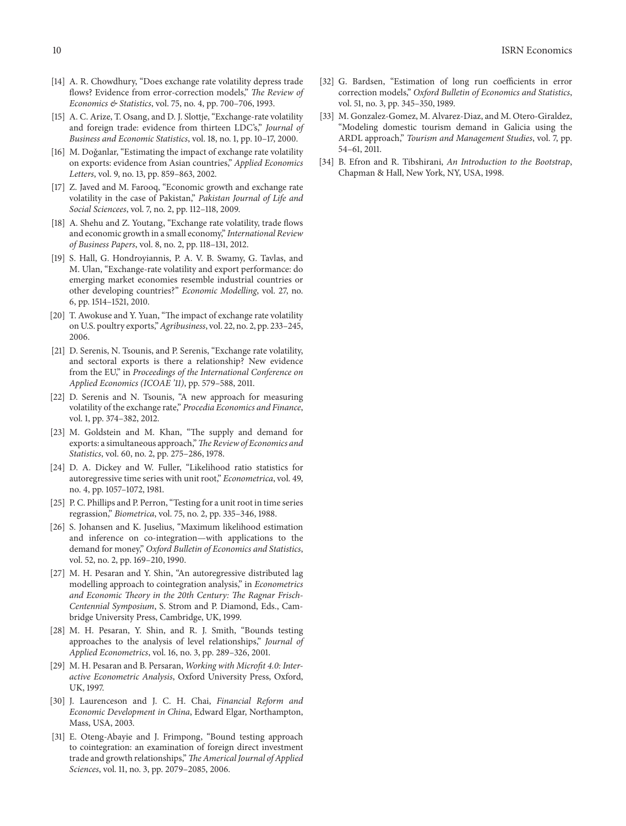- <span id="page-10-0"></span>[14] A. R. Chowdhury, "Does exchange rate volatility depress trade flows? Evidence from error-correction models," *The Review of Economics & Statistics*, vol. 75, no. 4, pp. 700–706, 1993.
- <span id="page-10-1"></span>[15] A. C. Arize, T. Osang, and D. J. Slottje, "Exchange-rate volatility and foreign trade: evidence from thirteen LDC's," *Journal of Business and Economic Statistics*, vol. 18, no. 1, pp. 10–17, 2000.
- <span id="page-10-2"></span>[16] M. Doğanlar, "Estimating the impact of exchange rate volatility on exports: evidence from Asian countries," *Applied Economics Letters*, vol. 9, no. 13, pp. 859–863, 2002.
- <span id="page-10-3"></span>[17] Z. Javed and M. Farooq, "Economic growth and exchange rate volatility in the case of Pakistan," *Pakistan Journal of Life and Social Sciencees*, vol. 7, no. 2, pp. 112–118, 2009.
- <span id="page-10-4"></span>[18] A. Shehu and Z. Youtang, "Exchange rate volatility, trade flows and economic growth in a small economy," *International Review of Business Papers*, vol. 8, no. 2, pp. 118–131, 2012.
- <span id="page-10-5"></span>[19] S. Hall, G. Hondroyiannis, P. A. V. B. Swamy, G. Tavlas, and M. Ulan, "Exchange-rate volatility and export performance: do emerging market economies resemble industrial countries or other developing countries?" *Economic Modelling*, vol. 27, no. 6, pp. 1514–1521, 2010.
- <span id="page-10-6"></span>[20] T. Awokuse and Y. Yuan, "The impact of exchange rate volatility on U.S. poultry exports,"*Agribusiness*, vol. 22, no. 2, pp. 233–245, 2006.
- <span id="page-10-7"></span>[21] D. Serenis, N. Tsounis, and P. Serenis, "Exchange rate volatility, and sectoral exports is there a relationship? New evidence from the EU," in *Proceedings of the International Conference on Applied Economics (ICOAE '11)*, pp. 579–588, 2011.
- <span id="page-10-8"></span>[22] D. Serenis and N. Tsounis, "A new approach for measuring volatility of the exchange rate," *Procedia Economics and Finance*, vol. 1, pp. 374–382, 2012.
- <span id="page-10-9"></span>[23] M. Goldstein and M. Khan, "The supply and demand for exports: a simultaneous approach,"*The Review of Economics and Statistics*, vol. 60, no. 2, pp. 275–286, 1978.
- <span id="page-10-10"></span>[24] D. A. Dickey and W. Fuller, "Likelihood ratio statistics for autoregressive time series with unit root," *Econometrica*, vol. 49, no. 4, pp. 1057–1072, 1981.
- <span id="page-10-11"></span>[25] P. C. Phillips and P. Perron, "Testing for a unit root in time series regrassion," *Biometrica*, vol. 75, no. 2, pp. 335–346, 1988.
- <span id="page-10-12"></span>[26] S. Johansen and K. Juselius, "Maximum likelihood estimation and inference on co-integration—with applications to the demand for money," *Oxford Bulletin of Economics and Statistics*, vol. 52, no. 2, pp. 169–210, 1990.
- <span id="page-10-13"></span>[27] M. H. Pesaran and Y. Shin, "An autoregressive distributed lag modelling approach to cointegration analysis," in *Econometrics and Economic Theory in the 20th Century: The Ragnar Frisch-Centennial Symposium*, S. Strom and P. Diamond, Eds., Cambridge University Press, Cambridge, UK, 1999.
- <span id="page-10-14"></span>[28] M. H. Pesaran, Y. Shin, and R. J. Smith, "Bounds testing approaches to the analysis of level relationships," *Journal of Applied Econometrics*, vol. 16, no. 3, pp. 289–326, 2001.
- <span id="page-10-15"></span>[29] M. H. Pesaran and B. Persaran, *Working with Microfit 4.0: Interactive Econometric Analysis*, Oxford University Press, Oxford, UK, 1997.
- <span id="page-10-16"></span>[30] J. Laurenceson and J. C. H. Chai, *Financial Reform and Economic Development in China*, Edward Elgar, Northampton, Mass, USA, 2003.
- <span id="page-10-17"></span>[31] E. Oteng-Abayie and J. Frimpong, "Bound testing approach to cointegration: an examination of foreign direct investment trade and growth relationships,"*The Americal Journal of Applied Sciences*, vol. 11, no. 3, pp. 2079–2085, 2006.
- <span id="page-10-18"></span>[32] G. Bardsen, "Estimation of long run coefficients in error correction models," *Oxford Bulletin of Economics and Statistics*, vol. 51, no. 3, pp. 345–350, 1989.
- <span id="page-10-19"></span>[33] M. Gonzalez-Gomez, M. Alvarez-Diaz, and M. Otero-Giraldez, "Modeling domestic tourism demand in Galicia using the ARDL approach," *Tourism and Management Studies*, vol. 7, pp. 54–61, 2011.
- <span id="page-10-20"></span>[34] B. Efron and R. Tibshirani, *An Introduction to the Bootstrap*, Chapman & Hall, New York, NY, USA, 1998.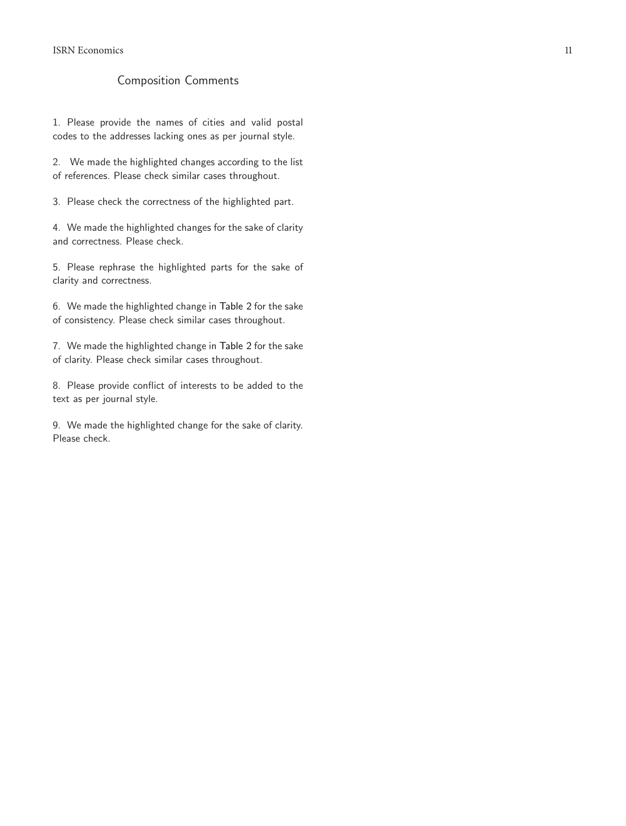# Composition Comments

1. Please provide the names of cities and valid postal codes to the addresses lacking ones as per journal style.

2. We made the highlighted changes according to the list of references. Please check similar cases throughout.

3. Please check the correctness of the highlighted part.

4. We made the highlighted changes for the sake of clarity and correctness. Please check.

5. Please rephrase the highlighted parts for the sake of clarity and correctness.

6. We made the highlighted change in [Table 2](#page-4-0) for the sake of consistency. Please check similar cases throughout.

7. We made the highlighted change in [Table 2](#page-4-0) for the sake of clarity. Please check similar cases throughout.

8. Please provide conflict of interests to be added to the text as per journal style.

9. We made the highlighted change for the sake of clarity. Please check.